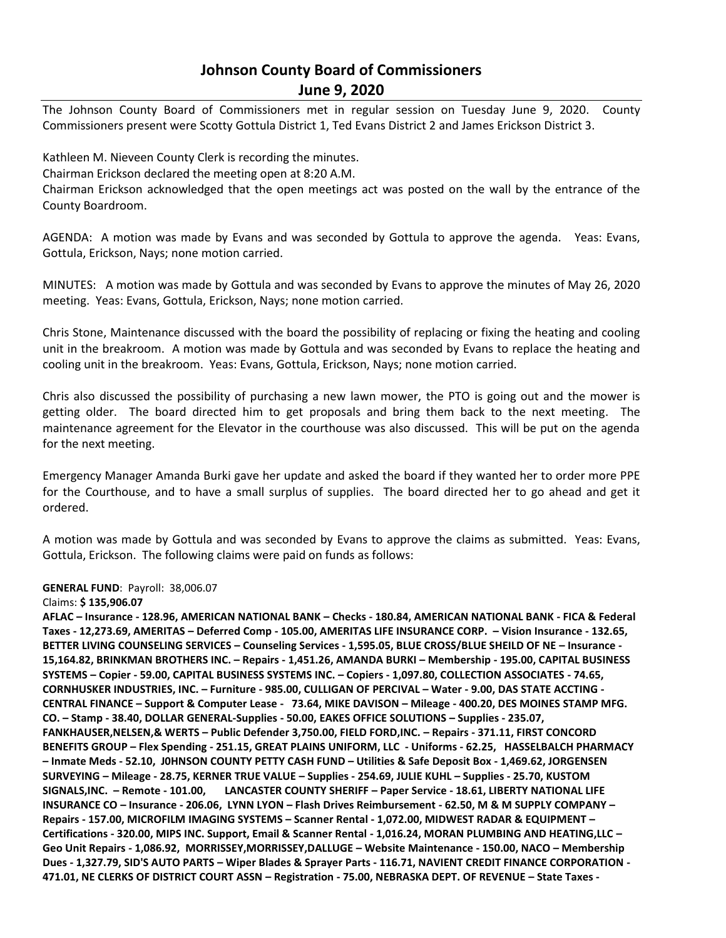## **Johnson County Board of Commissioners June 9, 2020**

The Johnson County Board of Commissioners met in regular session on Tuesday June 9, 2020. County Commissioners present were Scotty Gottula District 1, Ted Evans District 2 and James Erickson District 3.

Kathleen M. Nieveen County Clerk is recording the minutes. Chairman Erickson declared the meeting open at 8:20 A.M. Chairman Erickson acknowledged that the open meetings act was posted on the wall by the entrance of the County Boardroom.

AGENDA: A motion was made by Evans and was seconded by Gottula to approve the agenda. Yeas: Evans, Gottula, Erickson, Nays; none motion carried.

MINUTES: A motion was made by Gottula and was seconded by Evans to approve the minutes of May 26, 2020 meeting. Yeas: Evans, Gottula, Erickson, Nays; none motion carried.

Chris Stone, Maintenance discussed with the board the possibility of replacing or fixing the heating and cooling unit in the breakroom. A motion was made by Gottula and was seconded by Evans to replace the heating and cooling unit in the breakroom. Yeas: Evans, Gottula, Erickson, Nays; none motion carried.

Chris also discussed the possibility of purchasing a new lawn mower, the PTO is going out and the mower is getting older. The board directed him to get proposals and bring them back to the next meeting. The maintenance agreement for the Elevator in the courthouse was also discussed. This will be put on the agenda for the next meeting.

Emergency Manager Amanda Burki gave her update and asked the board if they wanted her to order more PPE for the Courthouse, and to have a small surplus of supplies. The board directed her to go ahead and get it ordered.

A motion was made by Gottula and was seconded by Evans to approve the claims as submitted. Yeas: Evans, Gottula, Erickson. The following claims were paid on funds as follows:

## **GENERAL FUND**: Payroll: 38,006.07

## Claims: **\$ 135,906.07**

**AFLAC – Insurance - 128.96, AMERICAN NATIONAL BANK – Checks - 180.84, AMERICAN NATIONAL BANK - FICA & Federal Taxes - 12,273.69, AMERITAS – Deferred Comp - 105.00, AMERITAS LIFE INSURANCE CORP. – Vision Insurance - 132.65, BETTER LIVING COUNSELING SERVICES – Counseling Services - 1,595.05, BLUE CROSS/BLUE SHEILD OF NE – Insurance - 15,164.82, BRINKMAN BROTHERS INC. – Repairs - 1,451.26, AMANDA BURKI – Membership - 195.00, CAPITAL BUSINESS SYSTEMS – Copier - 59.00, CAPITAL BUSINESS SYSTEMS INC. – Copiers - 1,097.80, COLLECTION ASSOCIATES - 74.65, CORNHUSKER INDUSTRIES, INC. – Furniture - 985.00, CULLIGAN OF PERCIVAL – Water - 9.00, DAS STATE ACCTING - CENTRAL FINANCE – Support & Computer Lease - 73.64, MIKE DAVISON – Mileage - 400.20, DES MOINES STAMP MFG. CO. – Stamp - 38.40, DOLLAR GENERAL-Supplies - 50.00, EAKES OFFICE SOLUTIONS – Supplies - 235.07, FANKHAUSER,NELSEN,& WERTS – Public Defender 3,750.00, FIELD FORD,INC. – Repairs - 371.11, FIRST CONCORD BENEFITS GROUP – Flex Spending - 251.15, GREAT PLAINS UNIFORM, LLC - Uniforms - 62.25, HASSELBALCH PHARMACY – Inmate Meds - 52.10, J0HNSON COUNTY PETTY CASH FUND – Utilities & Safe Deposit Box - 1,469.62, JORGENSEN SURVEYING – Mileage - 28.75, KERNER TRUE VALUE – Supplies - 254.69, JULIE KUHL – Supplies - 25.70, KUSTOM SIGNALS,INC. – Remote - 101.00, LANCASTER COUNTY SHERIFF – Paper Service - 18.61, LIBERTY NATIONAL LIFE INSURANCE CO – Insurance - 206.06, LYNN LYON – Flash Drives Reimbursement - 62.50, M & M SUPPLY COMPANY – Repairs - 157.00, MICROFILM IMAGING SYSTEMS – Scanner Rental - 1,072.00, MIDWEST RADAR & EQUIPMENT – Certifications - 320.00, MIPS INC. Support, Email & Scanner Rental - 1,016.24, MORAN PLUMBING AND HEATING,LLC – Geo Unit Repairs - 1,086.92, MORRISSEY,MORRISSEY,DALLUGE – Website Maintenance - 150.00, NACO – Membership Dues - 1,327.79, SID'S AUTO PARTS – Wiper Blades & Sprayer Parts - 116.71, NAVIENT CREDIT FINANCE CORPORATION - 471.01, NE CLERKS OF DISTRICT COURT ASSN – Registration - 75.00, NEBRASKA DEPT. OF REVENUE – State Taxes -**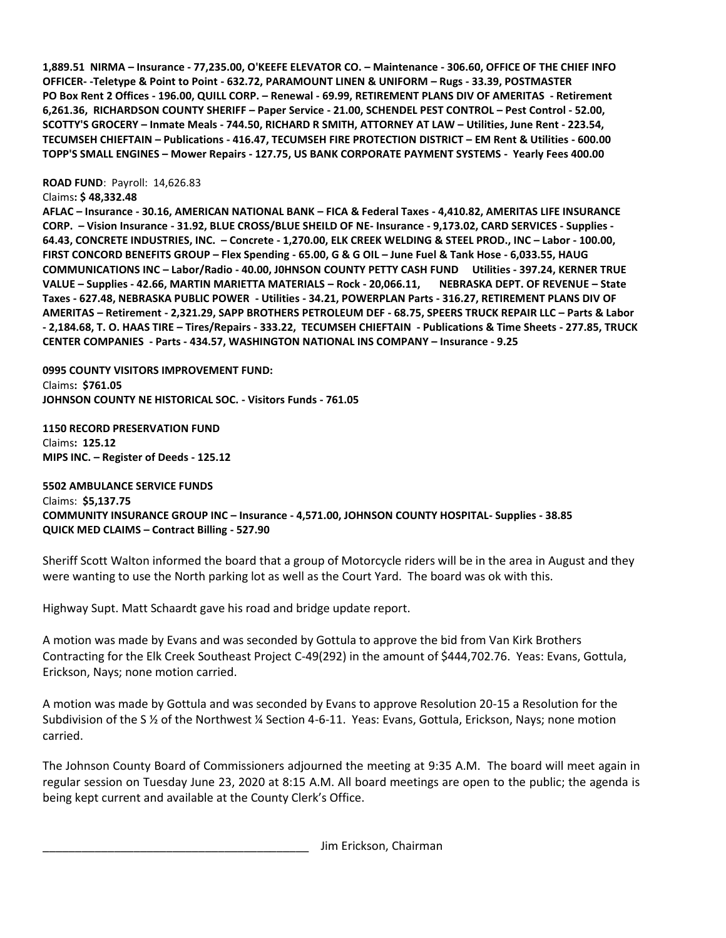**1,889.51 NIRMA – Insurance - 77,235.00, O'KEEFE ELEVATOR CO. – Maintenance - 306.60, OFFICE OF THE CHIEF INFO OFFICER- -Teletype & Point to Point - 632.72, PARAMOUNT LINEN & UNIFORM – Rugs - 33.39, POSTMASTER PO Box Rent 2 Offices - 196.00, QUILL CORP. – Renewal - 69.99, RETIREMENT PLANS DIV OF AMERITAS - Retirement 6,261.36, RICHARDSON COUNTY SHERIFF – Paper Service - 21.00, SCHENDEL PEST CONTROL – Pest Control - 52.00, SCOTTY'S GROCERY – Inmate Meals - 744.50, RICHARD R SMITH, ATTORNEY AT LAW – Utilities, June Rent - 223.54, TECUMSEH CHIEFTAIN – Publications - 416.47, TECUMSEH FIRE PROTECTION DISTRICT – EM Rent & Utilities - 600.00 TOPP'S SMALL ENGINES – Mower Repairs - 127.75, US BANK CORPORATE PAYMENT SYSTEMS - Yearly Fees 400.00** 

**ROAD FUND**: Payroll: 14,626.83

Claims**: \$ 48,332.48** 

**AFLAC – Insurance - 30.16, AMERICAN NATIONAL BANK – FICA & Federal Taxes - 4,410.82, AMERITAS LIFE INSURANCE CORP. – Vision Insurance - 31.92, BLUE CROSS/BLUE SHEILD OF NE- Insurance - 9,173.02, CARD SERVICES - Supplies - 64.43, CONCRETE INDUSTRIES, INC. – Concrete - 1,270.00, ELK CREEK WELDING & STEEL PROD., INC – Labor - 100.00, FIRST CONCORD BENEFITS GROUP – Flex Spending - 65.00, G & G OIL – June Fuel & Tank Hose - 6,033.55, HAUG COMMUNICATIONS INC – Labor/Radio - 40.00, J0HNSON COUNTY PETTY CASH FUND Utilities - 397.24, KERNER TRUE VALUE – Supplies - 42.66, MARTIN MARIETTA MATERIALS – Rock - 20,066.11, NEBRASKA DEPT. OF REVENUE – State Taxes - 627.48, NEBRASKA PUBLIC POWER - Utilities - 34.21, POWERPLAN Parts - 316.27, RETIREMENT PLANS DIV OF AMERITAS – Retirement - 2,321.29, SAPP BROTHERS PETROLEUM DEF - 68.75, SPEERS TRUCK REPAIR LLC – Parts & Labor - 2,184.68, T. O. HAAS TIRE – Tires/Repairs - 333.22, TECUMSEH CHIEFTAIN - Publications & Time Sheets - 277.85, TRUCK CENTER COMPANIES - Parts - 434.57, WASHINGTON NATIONAL INS COMPANY – Insurance - 9.25** 

**0995 COUNTY VISITORS IMPROVEMENT FUND:** Claims**: \$761.05 JOHNSON COUNTY NE HISTORICAL SOC. - Visitors Funds - 761.05** 

**1150 RECORD PRESERVATION FUND** Claims**: 125.12 MIPS INC. – Register of Deeds - 125.12** 

**5502 AMBULANCE SERVICE FUNDS** Claims: **\$5,137.75 COMMUNITY INSURANCE GROUP INC – Insurance - 4,571.00, JOHNSON COUNTY HOSPITAL- Supplies - 38.85 QUICK MED CLAIMS – Contract Billing - 527.90** 

Sheriff Scott Walton informed the board that a group of Motorcycle riders will be in the area in August and they were wanting to use the North parking lot as well as the Court Yard. The board was ok with this.

Highway Supt. Matt Schaardt gave his road and bridge update report.

A motion was made by Evans and was seconded by Gottula to approve the bid from Van Kirk Brothers Contracting for the Elk Creek Southeast Project C-49(292) in the amount of \$444,702.76. Yeas: Evans, Gottula, Erickson, Nays; none motion carried.

A motion was made by Gottula and was seconded by Evans to approve Resolution 20-15 a Resolution for the Subdivision of the S ½ of the Northwest ¼ Section 4-6-11. Yeas: Evans, Gottula, Erickson, Nays; none motion carried.

The Johnson County Board of Commissioners adjourned the meeting at 9:35 A.M. The board will meet again in regular session on Tuesday June 23, 2020 at 8:15 A.M. All board meetings are open to the public; the agenda is being kept current and available at the County Clerk's Office.

Jim Erickson, Chairman